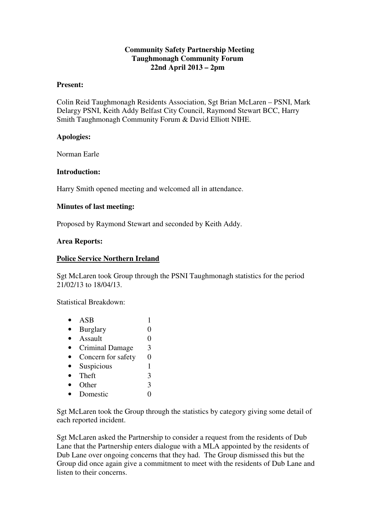## **Community Safety Partnership Meeting Taughmonagh Community Forum 22nd April 2013 – 2pm**

#### **Present:**

Colin Reid Taughmonagh Residents Association, Sgt Brian McLaren – PSNI, Mark Delargy PSNI, Keith Addy Belfast City Council, Raymond Stewart BCC, Harry Smith Taughmonagh Community Forum & David Elliott NIHE.

## **Apologies:**

Norman Earle

### **Introduction:**

Harry Smith opened meeting and welcomed all in attendance.

### **Minutes of last meeting:**

Proposed by Raymond Stewart and seconded by Keith Addy.

### **Area Reports:**

### **Police Service Northern Ireland**

Sgt McLaren took Group through the PSNI Taughmonagh statistics for the period 21/02/13 to 18/04/13.

Statistical Breakdown:

| ASB                    |   |
|------------------------|---|
| <b>Burglary</b>        |   |
| Assault                |   |
| <b>Criminal Damage</b> | 3 |
| Concern for safety     | 0 |
| Suspicious             |   |
| Theft                  | 3 |
| Other                  | 3 |
| Domestic               |   |
|                        |   |

Sgt McLaren took the Group through the statistics by category giving some detail of each reported incident.

Sgt McLaren asked the Partnership to consider a request from the residents of Dub Lane that the Partnership enters dialogue with a MLA appointed by the residents of Dub Lane over ongoing concerns that they had. The Group dismissed this but the Group did once again give a commitment to meet with the residents of Dub Lane and listen to their concerns.